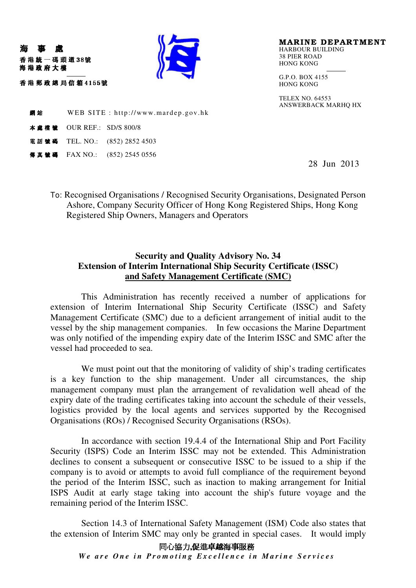

MARINE DEPARTMENT HARBOUR BUILDING 38 PIER ROAD HONG KONG

G.P.O. BOX 4155 HONG KONG

TELEX NO. 64553 ANSWERBACK MARHQ HX

**網站** WEB SITE : http://www.mardep.gov.hk

**本盧橋號 OUR REF.: SD/S 800/8** 

"!!

吞 港 郵 政 總 局 信 箱 4155號

海 事 處

海港政府大樓

電話號碼 TEL. NO.: (852) 2852 4503

傳真號碼 FAX NO.: (852) 2545 0556

28 Jun 2013

To: Recognised Organisations / Recognised Security Organisations, Designated Person Ashore, Company Security Officer of Hong Kong Registered Ships, Hong Kong Registered Ship Owners, Managers and Operators

## **Security and Quality Advisory No. 34 Extension of Interim International Ship Security Certificate (ISSC) and Safety Management Certificate (SMC)**

This Administration has recently received a number of applications for extension of Interim International Ship Security Certificate (ISSC) and Safety Management Certificate (SMC) due to a deficient arrangement of initial audit to the vessel by the ship management companies. In few occasions the Marine Department was only notified of the impending expiry date of the Interim ISSC and SMC after the vessel had proceeded to sea.

We must point out that the monitoring of validity of ship's trading certificates is a key function to the ship management. Under all circumstances, the ship management company must plan the arrangement of revalidation well ahead of the expiry date of the trading certificates taking into account the schedule of their vessels, logistics provided by the local agents and services supported by the Recognised Organisations (ROs) / Recognised Security Organisations (RSOs).

In accordance with section 19.4.4 of the International Ship and Port Facility Security (ISPS) Code an Interim ISSC may not be extended. This Administration declines to consent a subsequent or consecutive ISSC to be issued to a ship if the company is to avoid or attempts to avoid full compliance of the requirement beyond the period of the Interim ISSC, such as inaction to making arrangement for Initial ISPS Audit at early stage taking into account the ship's future voyage and the remaining period of the Interim ISSC.

Section 14.3 of International Safety Management (ISM) Code also states that the extension of Interim SMC may only be granted in special cases. It would imply